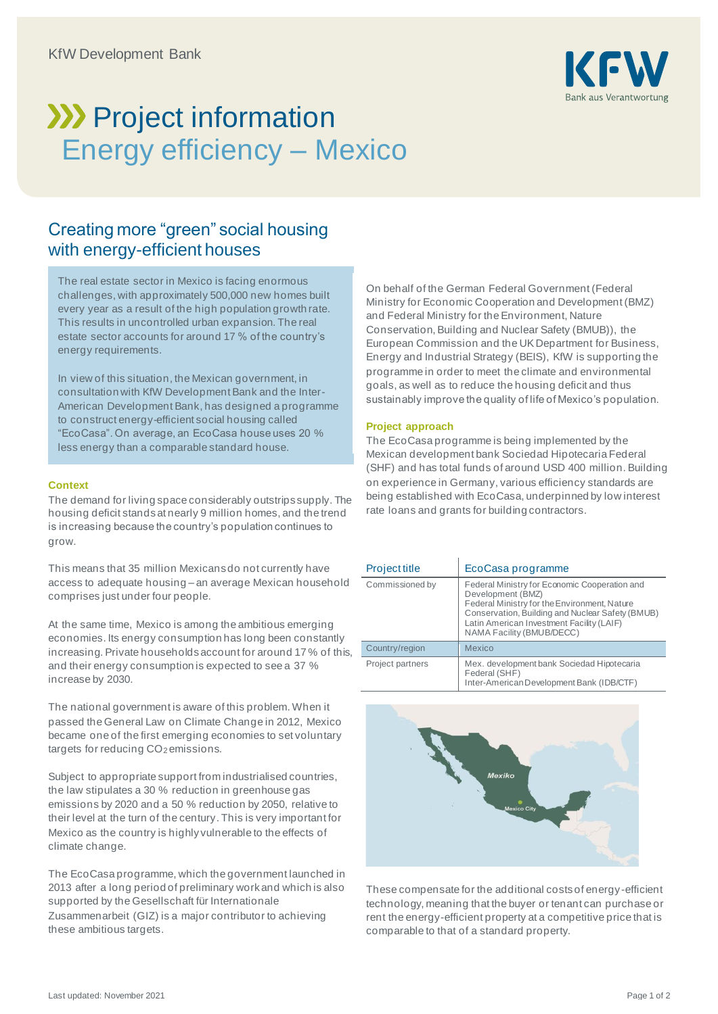

# **>>>>** Project information Energy efficiency – Mexico

## Creating more "green" social housing with energy-efficient houses

The real estate sector in Mexico is facing enormous challenges, with approximately 500,000 new homes built every year as a result of the high population growth rate. This results in uncontrolled urban expansion. The real estate sector accounts for around 17 % of the country's energy requirements.

In view of this situation, the Mexican government, in consultation with KfW Development Bank and the Inter-American Development Bank, has designed a programme to construct energy-efficient social housing called "EcoCasa". On average, an EcoCasa house uses 20 % less energy than a comparable standard house.

#### **Context**

The demand for living space considerably outstrips supply. The housing deficit stands at nearly 9 million homes, and the trend is increasing because the country's population continues to grow.

This means that 35 million Mexicans do not currently have access to adequate housing – an average Mexican household comprises just under four people.

At the same time, Mexico is among the ambitious emerging economies. Its energy consumption has long been constantly increasing. Private households account for around 17 % of this, and their energy consumption is expected to see a 37 % increase by 2030.

The national government is aware of this problem. When it passed the General Law on Climate Change in 2012, Mexico became one of the first emerging economies to set voluntary targets for reducing CO<sub>2</sub> emissions.

Subject to appropriate support from industrialised countries, the law stipulates a 30 % reduction in greenhouse gas emissions by 2020 and a 50 % reduction by 2050, relative to their level at the turn of the century. This is very important for Mexico as the country is highly vulnerable to the effects of climate change.

The EcoCasa programme, which the government launched in 2013 after a long period of preliminary work and which is also supported by the Gesellschaft für Internationale Zusammenarbeit (GIZ) is a major contributor to achieving these ambitious targets.

On behalf of the German Federal Government (Federal Ministry for Economic Cooperation and Development (BMZ) and Federal Ministry for the Environment, Nature Conservation, Building and Nuclear Safety (BMUB)), the European Commission and the UK Department for Business, Energy and Industrial Strategy (BEIS), KfW is supporting the programme in order to meet the climate and environmental goals, as well as to reduce the housing deficit and thus sustainably improve the quality of life of Mexico's population.

#### **Project approach**

The EcoCasa programme is being implemented by the Mexican development bank Sociedad Hipotecaria Federal (SHF) and has total funds of around USD 400 million. Building on experience in Germany, various efficiency standards are being established with EcoCasa, underpinned by low interest rate loans and grants for building contractors.

| <b>Project title</b> | EcoCasa programme                                                                                                                                                                                                                                |
|----------------------|--------------------------------------------------------------------------------------------------------------------------------------------------------------------------------------------------------------------------------------------------|
| Commissioned by      | Federal Ministry for Economic Cooperation and<br>Development (BMZ)<br>Federal Ministry for the Environment, Nature<br>Conservation, Building and Nuclear Safety (BMUB)<br>Latin American Investment Facility (LAIF)<br>NAMA Facility (BMUB/DECC) |
| Country/region       | Mexico                                                                                                                                                                                                                                           |
| Project partners     | Mex. development bank Sociedad Hipotecaria<br>Federal (SHF)<br>Inter-American Development Bank (IDB/CTF)                                                                                                                                         |



These compensate for the additional costs of energy-efficient technology, meaning that the buyer or tenant can purchase or rent the energy-efficient property at a competitive price that is comparable to that of a standard property.